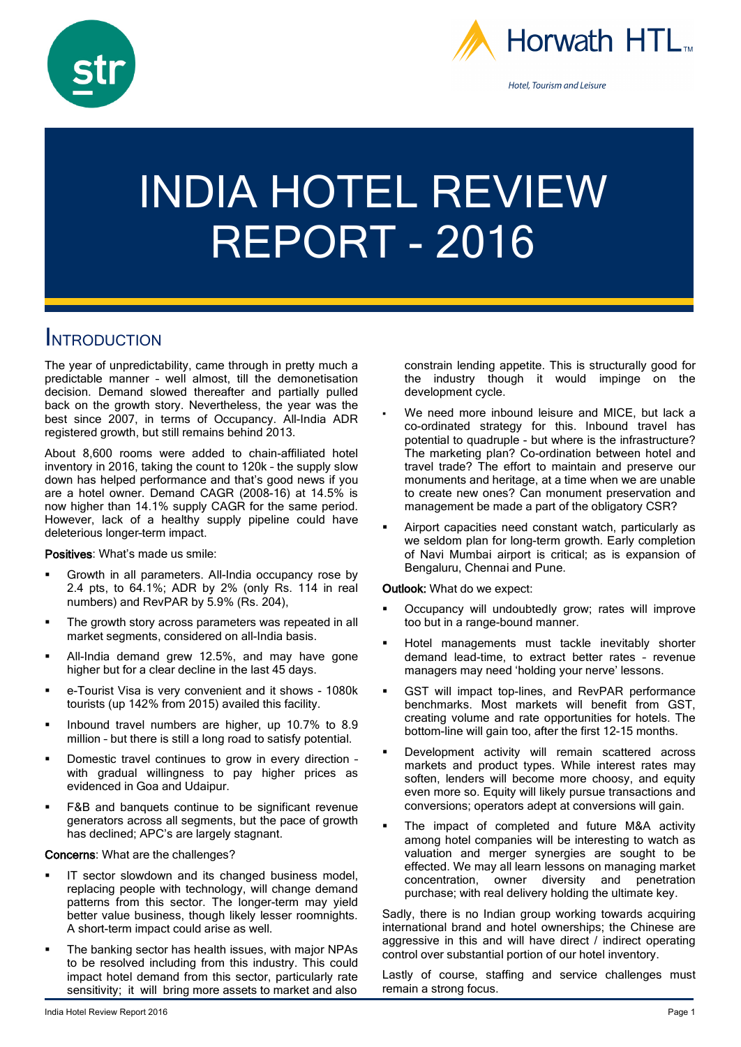



# INDIA HOTEL REVIEW REPORT - 2016

## **INTRODUCTION**

The year of unpredictability, came through in pretty much a predictable manner – well almost, till the demonetisation decision. Demand slowed thereafter and partially pulled back on the growth story. Nevertheless, the year was the best since 2007, in terms of Occupancy. All-India ADR registered growth, but still remains behind 2013.

About 8,600 rooms were added to chain-affiliated hotel inventory in 2016, taking the count to 120k – the supply slow down has helped performance and that's good news if you are a hotel owner. Demand CAGR (2008-16) at 14.5% is now higher than 14.1% supply CAGR for the same period. However, lack of a healthy supply pipeline could have deleterious longer–term impact.

Positives: What's made us smile:

- Growth in all parameters. All-India occupancy rose by 2.4 pts, to 64.1%; ADR by 2% (only Rs. 114 in real numbers) and RevPAR by 5.9% (Rs. 204),
- The growth story across parameters was repeated in all market segments, considered on all-India basis.
- All-India demand grew 12.5%, and may have gone higher but for a clear decline in the last 45 days.
- e-Tourist Visa is very convenient and it shows 1080k tourists (up 142% from 2015) availed this facility.
- Inbound travel numbers are higher, up 10.7% to 8.9 million – but there is still a long road to satisfy potential.
- Domestic travel continues to grow in every direction with gradual willingness to pay higher prices as evidenced in Goa and Udaipur.
- F&B and banquets continue to be significant revenue generators across all segments, but the pace of growth has declined; APC's are largely stagnant.

Concerns: What are the challenges?

- IT sector slowdown and its changed business model, replacing people with technology, will change demand patterns from this sector. The longer-term may yield better value business, though likely lesser roomnights. A short-term impact could arise as well.
- The banking sector has health issues, with major NPAs to be resolved including from this industry. This could impact hotel demand from this sector, particularly rate sensitivity; it will bring more assets to market and also

constrain lending appetite. This is structurally good for the industry though it would impinge on the development cycle.

- We need more inbound leisure and MICE, but lack a co-ordinated strategy for this. Inbound travel has potential to quadruple - but where is the infrastructure? The marketing plan? Co-ordination between hotel and travel trade? The effort to maintain and preserve our monuments and heritage, at a time when we are unable to create new ones? Can monument preservation and management be made a part of the obligatory CSR?
- Airport capacities need constant watch, particularly as we seldom plan for long-term growth. Early completion of Navi Mumbai airport is critical; as is expansion of Bengaluru, Chennai and Pune.

### Outlook: What do we expect:

- Occupancy will undoubtedly grow; rates will improve too but in a range-bound manner.
- Hotel managements must tackle inevitably shorter demand lead-time, to extract better rates – revenue managers may need 'holding your nerve' lessons.
- GST will impact top-lines, and RevPAR performance benchmarks. Most markets will benefit from GST, creating volume and rate opportunities for hotels. The bottom-line will gain too, after the first 12-15 months.
- Development activity will remain scattered across markets and product types. While interest rates may soften, lenders will become more choosy, and equity even more so. Equity will likely pursue transactions and conversions; operators adept at conversions will gain.
- The impact of completed and future M&A activity among hotel companies will be interesting to watch as valuation and merger synergies are sought to be effected. We may all learn lessons on managing market concentration, owner diversity and penetration purchase; with real delivery holding the ultimate key.

Sadly, there is no Indian group working towards acquiring international brand and hotel ownerships; the Chinese are aggressive in this and will have direct / indirect operating control over substantial portion of our hotel inventory.

Lastly of course, staffing and service challenges must remain a strong focus.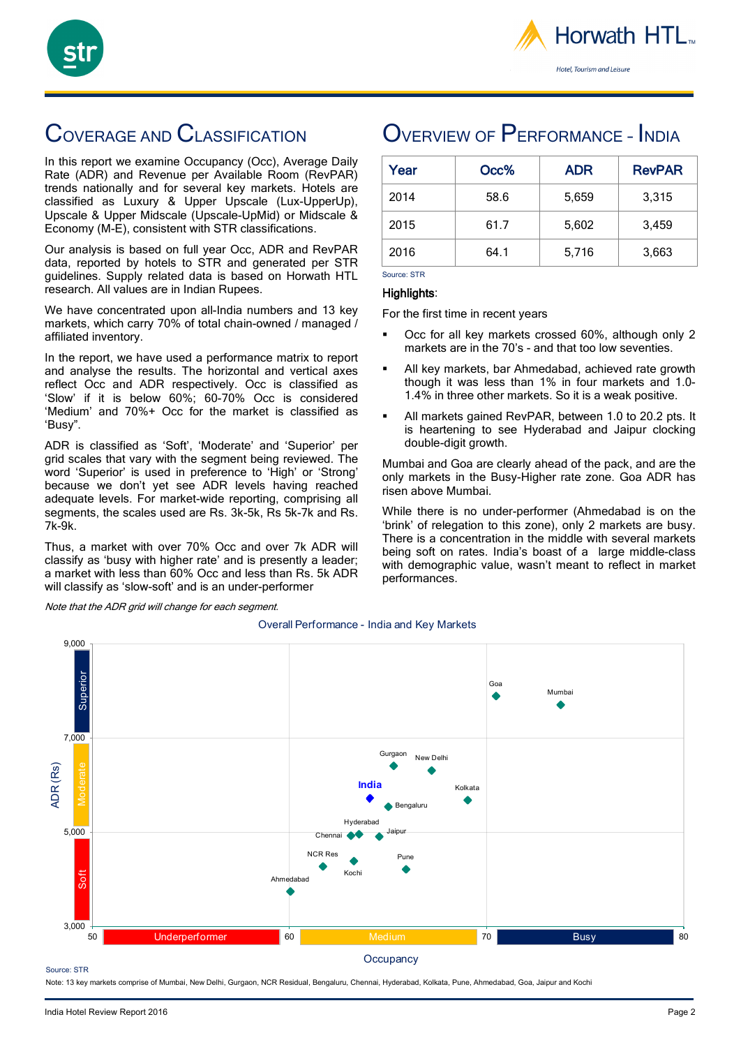



# COVERAGE AND CLASSIFICATION

In this report we examine Occupancy (Occ), Average Daily Rate (ADR) and Revenue per Available Room (RevPAR) trends nationally and for several key markets. Hotels are classified as Luxury & Upper Upscale (Lux-UpperUp), Upscale & Upper Midscale (Upscale-UpMid) or Midscale & Economy (M-E), consistent with STR classifications.

Our analysis is based on full year Occ, ADR and RevPAR data, reported by hotels to STR and generated per STR guidelines. Supply related data is based on Horwath HTL research. All values are in Indian Rupees.

We have concentrated upon all-India numbers and 13 key markets, which carry 70% of total chain-owned / managed / affiliated inventory.

In the report, we have used a performance matrix to report and analyse the results. The horizontal and vertical axes reflect Occ and ADR respectively. Occ is classified as 'Slow' if it is below 60%; 60-70% Occ is considered 'Medium' and 70%+ Occ for the market is classified as 'Busy".

ADR is classified as 'Soft', 'Moderate' and 'Superior' per grid scales that vary with the segment being reviewed. The word 'Superior' is used in preference to 'High' or 'Strong' because we don't yet see ADR levels having reached adequate levels. For market-wide reporting, comprising all segments, the scales used are Rs. 3k-5k, Rs 5k-7k and Rs. 7k-9k.

Thus, a market with over 70% Occ and over 7k ADR will classify as 'busy with higher rate' and is presently a leader; a market with less than 60% Occ and less than Rs. 5k ADR will classify as 'slow-soft' and is an under-performer

Note that the ADR grid will change for each segment.

## OVERVIEW OF PERFORMANCE - INDIA

| Year | Occ% | <b>ADR</b> | <b>RevPAR</b> |
|------|------|------------|---------------|
| 2014 | 58.6 | 5,659      | 3,315         |
| 2015 | 61.7 | 5,602      | 3,459         |
| 2016 | 64.1 | 5,716      | 3,663         |

Source: STR Highlights:

For the first time in recent years

- Occ for all key markets crossed 60%, although only 2 markets are in the 70's - and that too low seventies.
- All key markets, bar Ahmedabad, achieved rate growth though it was less than 1% in four markets and 1.0- 1.4% in three other markets. So it is a weak positive.
- All markets gained RevPAR, between 1.0 to 20.2 pts. It is heartening to see Hyderabad and Jaipur clocking double-digit growth.

Mumbai and Goa are clearly ahead of the pack, and are the only markets in the Busy-Higher rate zone. Goa ADR has risen above Mumbai.

While there is no under-performer (Ahmedabad is on the 'brink' of relegation to this zone), only 2 markets are busy. There is a concentration in the middle with several markets being soft on rates. India's boast of a large middle-class with demographic value, wasn't meant to reflect in market performances.



### Overall Performance - India and Key Markets

Source: STR

Note: 13 key markets comprise of Mumbai, New Delhi, Gurgaon, NCR Residual, Bengaluru, Chennai, Hyderabad, Kolkata, Pune, Ahmedabad, Goa, Jaipur and Kochi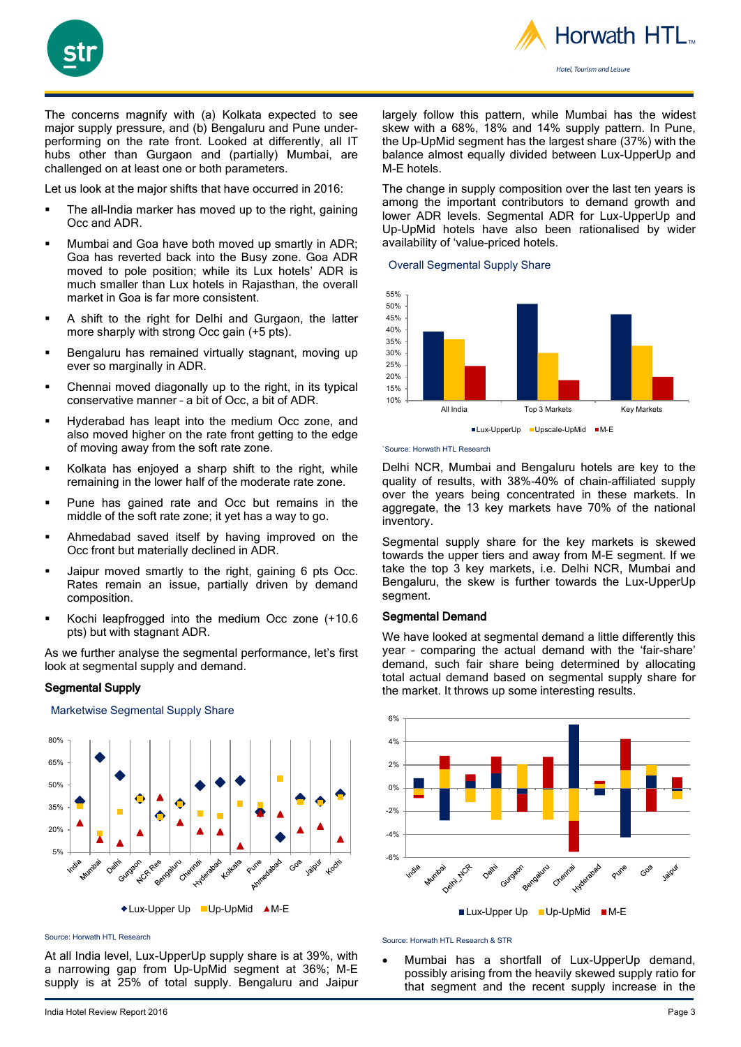



The concerns magnify with (a) Kolkata expected to see major supply pressure, and (b) Bengaluru and Pune underperforming on the rate front. Looked at differently, all IT hubs other than Gurgaon and (partially) Mumbai, are challenged on at least one or both parameters.

Let us look at the major shifts that have occurred in 2016:

- The all-India marker has moved up to the right, gaining Occ and ADR.
- Mumbai and Goa have both moved up smartly in ADR; Goa has reverted back into the Busy zone. Goa ADR moved to pole position; while its Lux hotels' ADR is much smaller than Lux hotels in Rajasthan, the overall market in Goa is far more consistent.
- A shift to the right for Delhi and Gurgaon, the latter more sharply with strong Occ gain (+5 pts).
- Bengaluru has remained virtually stagnant, moving up ever so marginally in ADR.
- Chennai moved diagonally up to the right, in its typical conservative manner – a bit of Occ, a bit of ADR.
- Hyderabad has leapt into the medium Occ zone, and also moved higher on the rate front getting to the edge of moving away from the soft rate zone.
- Kolkata has enjoyed a sharp shift to the right, while remaining in the lower half of the moderate rate zone.
- Pune has gained rate and Occ but remains in the middle of the soft rate zone; it yet has a way to go.
- Ahmedabad saved itself by having improved on the Occ front but materially declined in ADR.
- Jaipur moved smartly to the right, gaining 6 pts Occ. Rates remain an issue, partially driven by demand composition.
- Kochi leapfrogged into the medium Occ zone (+10.6 pts) but with stagnant ADR.

As we further analyse the segmental performance, let's first look at segmental supply and demand.

### Segmental Supply

Marketwise Segmental Supply Share

80% 65% 50% 35% 20% 5% Avrie datab **NUR Ree** Intrancement totkate Refrogivity Chemia Jaipur Goa Pune **Kocki** 

◆ Lux-Upper Up ■ Up-UpMid ▲ M-E

Source: Horwath HTL Research

At all India level, Lux-UpperUp supply share is at 39%, with a narrowing gap from Up-UpMid segment at 36%; M-E supply is at 25% of total supply. Bengaluru and Jaipur largely follow this pattern, while Mumbai has the widest skew with a 68%, 18% and 14% supply pattern. In Pune, the Up-UpMid segment has the largest share (37%) with the balance almost equally divided between Lux-UpperUp and M-E hotels.

The change in supply composition over the last ten years is among the important contributors to demand growth and lower ADR levels. Segmental ADR for Lux-UpperUp and Up-UpMid hotels have also been rationalised by wider availability of 'value-priced hotels.

#### Overall Segmental Supply Share



`Source: Horwath HTL Research

Delhi NCR, Mumbai and Bengaluru hotels are key to the quality of results, with 38%-40% of chain-affiliated supply over the years being concentrated in these markets. In aggregate, the 13 key markets have 70% of the national inventory.

Segmental supply share for the key markets is skewed towards the upper tiers and away from M-E segment. If we take the top 3 key markets, i.e. Delhi NCR, Mumbai and Bengaluru, the skew is further towards the Lux-UpperUp segment.

### Segmental Demand

We have looked at segmental demand a little differently this year – comparing the actual demand with the 'fair-share' demand, such fair share being determined by allocating total actual demand based on segmental supply share for the market. It throws up some interesting results.



Source: Horwath HTL Research & STR

• Mumbai has a shortfall of Lux-UpperUp demand, possibly arising from the heavily skewed supply ratio for that segment and the recent supply increase in the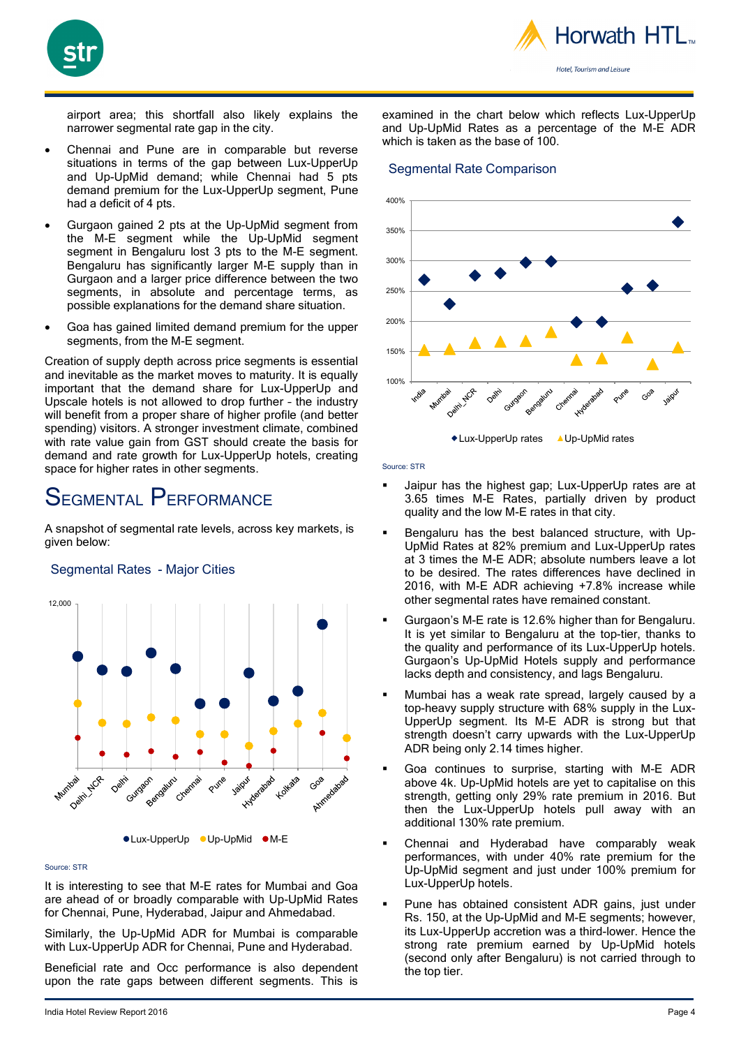

airport area; this shortfall also likely explains the narrower segmental rate gap in the city.

- Chennai and Pune are in comparable but reverse situations in terms of the gap between Lux-UpperUp and Up-UpMid demand; while Chennai had 5 pts demand premium for the Lux-UpperUp segment, Pune had a deficit of 4 pts.
- Gurgaon gained 2 pts at the Up-UpMid segment from the M-E segment while the Up-UpMid segment segment in Bengaluru lost 3 pts to the M-E segment. Bengaluru has significantly larger M-E supply than in Gurgaon and a larger price difference between the two segments, in absolute and percentage terms, as possible explanations for the demand share situation.
- Goa has gained limited demand premium for the upper segments, from the M-E segment.

Creation of supply depth across price segments is essential and inevitable as the market moves to maturity. It is equally important that the demand share for Lux-UpperUp and Upscale hotels is not allowed to drop further – the industry will benefit from a proper share of higher profile (and better spending) visitors. A stronger investment climate, combined with rate value gain from GST should create the basis for demand and rate growth for Lux-UpperUp hotels, creating space for higher rates in other segments.

# SEGMENTAL PERFORMANCE

A snapshot of segmental rate levels, across key markets, is given below:



### Segmental Rates - Major Cities

### Source: STR

It is interesting to see that M-E rates for Mumbai and Goa are ahead of or broadly comparable with Up-UpMid Rates for Chennai, Pune, Hyderabad, Jaipur and Ahmedabad.

Similarly, the Up-UpMid ADR for Mumbai is comparable with Lux-UpperUp ADR for Chennai, Pune and Hyderabad.

Beneficial rate and Occ performance is also dependent upon the rate gaps between different segments. This is

examined in the chart below which reflects Lux-UpperUp and Up-UpMid Rates as a percentage of the M-E ADR which is taken as the base of 100.

### Segmental Rate Comparison



Source: STR

- Jaipur has the highest gap; Lux-UpperUp rates are at 3.65 times M-E Rates, partially driven by product quality and the low M-E rates in that city.
- Bengaluru has the best balanced structure, with Up-UpMid Rates at 82% premium and Lux-UpperUp rates at 3 times the M-E ADR; absolute numbers leave a lot to be desired. The rates differences have declined in 2016, with M-E ADR achieving +7.8% increase while other segmental rates have remained constant.
- Gurgaon's M-E rate is 12.6% higher than for Bengaluru. It is yet similar to Bengaluru at the top-tier, thanks to the quality and performance of its Lux-UpperUp hotels. Gurgaon's Up-UpMid Hotels supply and performance lacks depth and consistency, and lags Bengaluru.
- Mumbai has a weak rate spread, largely caused by a top-heavy supply structure with 68% supply in the Lux-UpperUp segment. Its M-E ADR is strong but that strength doesn't carry upwards with the Lux-UpperUp ADR being only 2.14 times higher.
- Goa continues to surprise, starting with M-E ADR above 4k. Up-UpMid hotels are yet to capitalise on this strength, getting only 29% rate premium in 2016. But then the Lux-UpperUp hotels pull away with an additional 130% rate premium.
- Chennai and Hyderabad have comparably weak performances, with under 40% rate premium for the Up-UpMid segment and just under 100% premium for Lux-UpperUp hotels.
- Pune has obtained consistent ADR gains, just under Rs. 150, at the Up-UpMid and M-E segments; however, its Lux-UpperUp accretion was a third-lower. Hence the strong rate premium earned by Up-UpMid hotels (second only after Bengaluru) is not carried through to the top tier.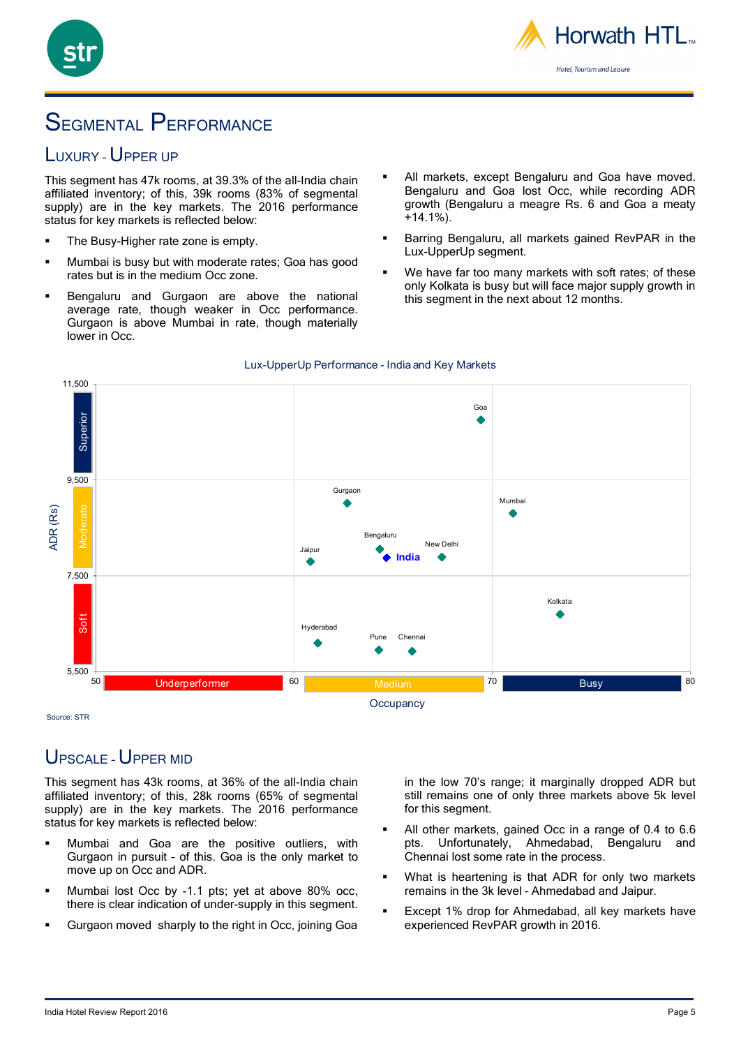

# SEGMENTAL PERFORMANCE

### LUXURY - UPPER UP

This segment has 47k rooms, at 39.3% of the all-India chain affiliated inventory; of this, 39k rooms (83% of segmental supply) are in the key markets. The 2016 performance status for key markets is reflected below:

- The Busy-Higher rate zone is empty.
- Mumbai is busy but with moderate rates; Goa has good rates but is in the medium Occ zone.
- Bengaluru and Gurgaon are above the national average rate, though weaker in Occ performance. Gurgaon is above Mumbai in rate, though materially lower in Occ.
- All markets, except Bengaluru and Goa have moved. Bengaluru and Goa lost Occ, while recording ADR growth (Bengaluru a meagre Rs. 6 and Goa a meaty +14.1%).
- Barring Bengaluru, all markets gained RevPAR in the Lux-UpperUp segment.
- We have far too many markets with soft rates; of these only Kolkata is busy but will face major supply growth in this segment in the next about 12 months.



### Lux-UpperUp Performance - India and Key Markets

Source: STR

### UPSCALE – UPPER MID

This segment has 43k rooms, at 36% of the all-India chain affiliated inventory; of this, 28k rooms (65% of segmental supply) are in the key markets. The 2016 performance status for key markets is reflected below:

- Mumbai and Goa are the positive outliers, with Gurgaon in pursuit – of this. Goa is the only market to move up on Occ and ADR.
- Mumbai lost Occ by -1.1 pts; yet at above 80% occ, there is clear indication of under-supply in this segment.
- Gurgaon moved sharply to the right in Occ, joining Goa

in the low 70's range; it marginally dropped ADR but still remains one of only three markets above 5k level for this segment.

- All other markets, gained Occ in a range of 0.4 to 6.6 pts. Unfortunately, Ahmedabad, Bengaluru and Chennai lost some rate in the process.
- What is heartening is that ADR for only two markets remains in the 3k level – Ahmedabad and Jaipur.
- Except 1% drop for Ahmedabad, all key markets have experienced RevPAR growth in 2016.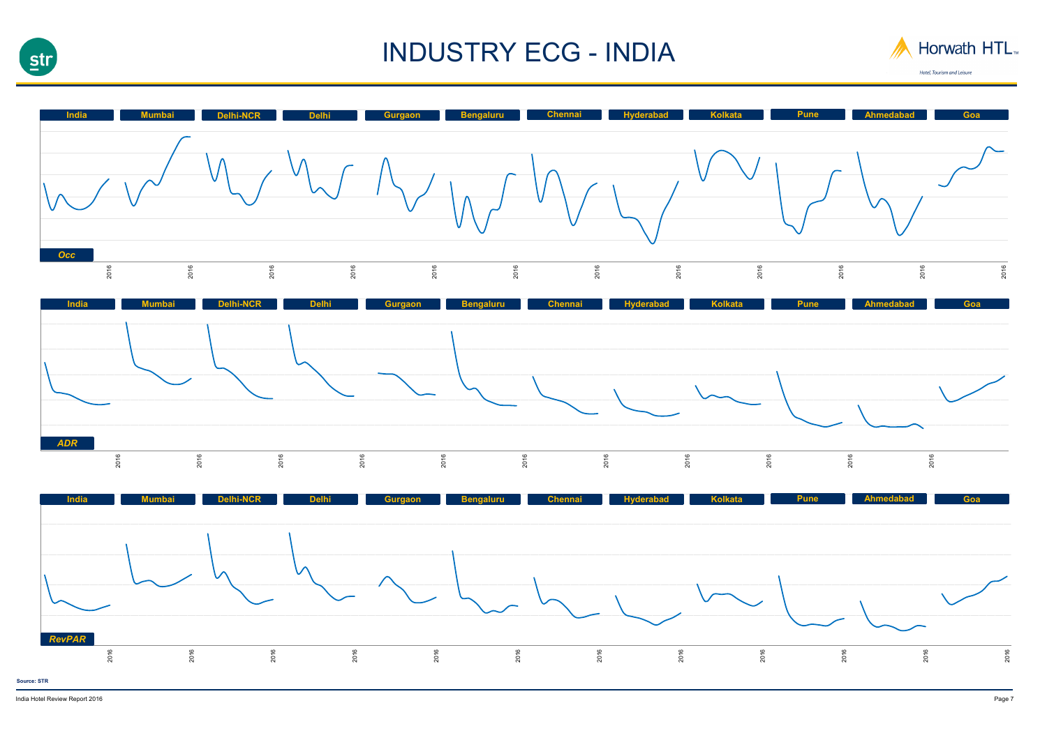

# INDUSTRY ECG - INDIA







Hotel, Tourism and Leisure



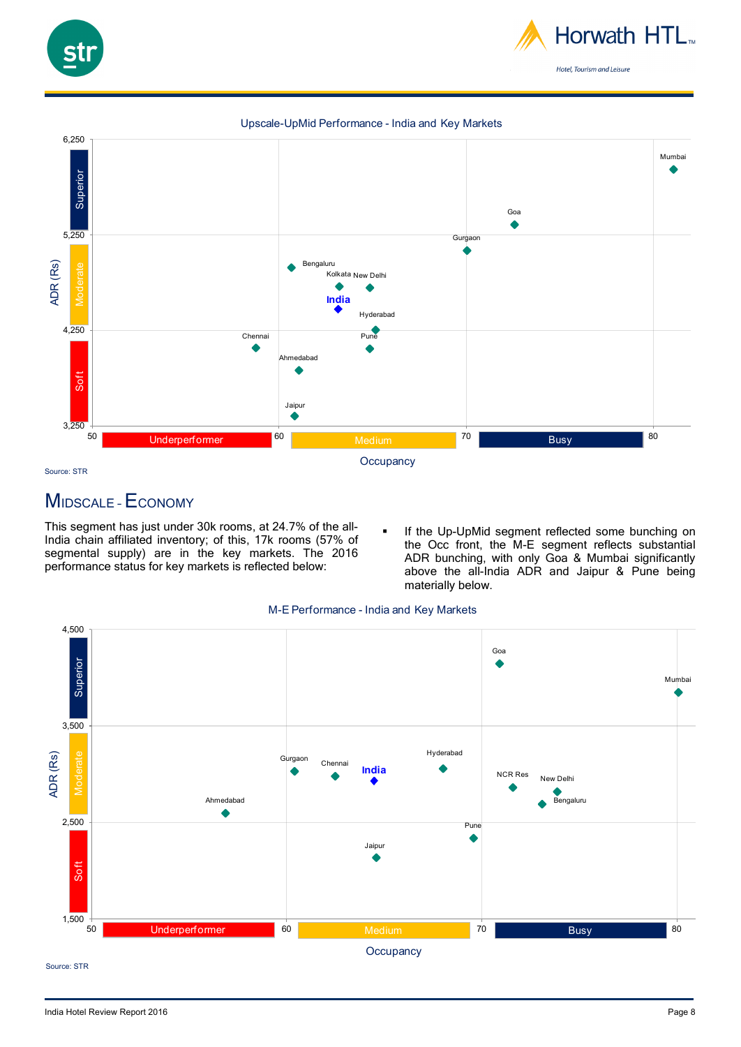

### Upscale-UpMid Performance - India and Key Markets



### MIDSCALE –ECONOMY

This segment has just under 30k rooms, at 24.7% of the all-India chain affiliated inventory; of this, 17k rooms (57% of segmental supply) are in the key markets. The 2016 performance status for key markets is reflected below:

 If the Up-UpMid segment reflected some bunching on the Occ front, the M-E segment reflects substantial ADR bunching, with only Goa & Mumbai significantly above the all-India ADR and Jaipur & Pune being materially below.





Source: STR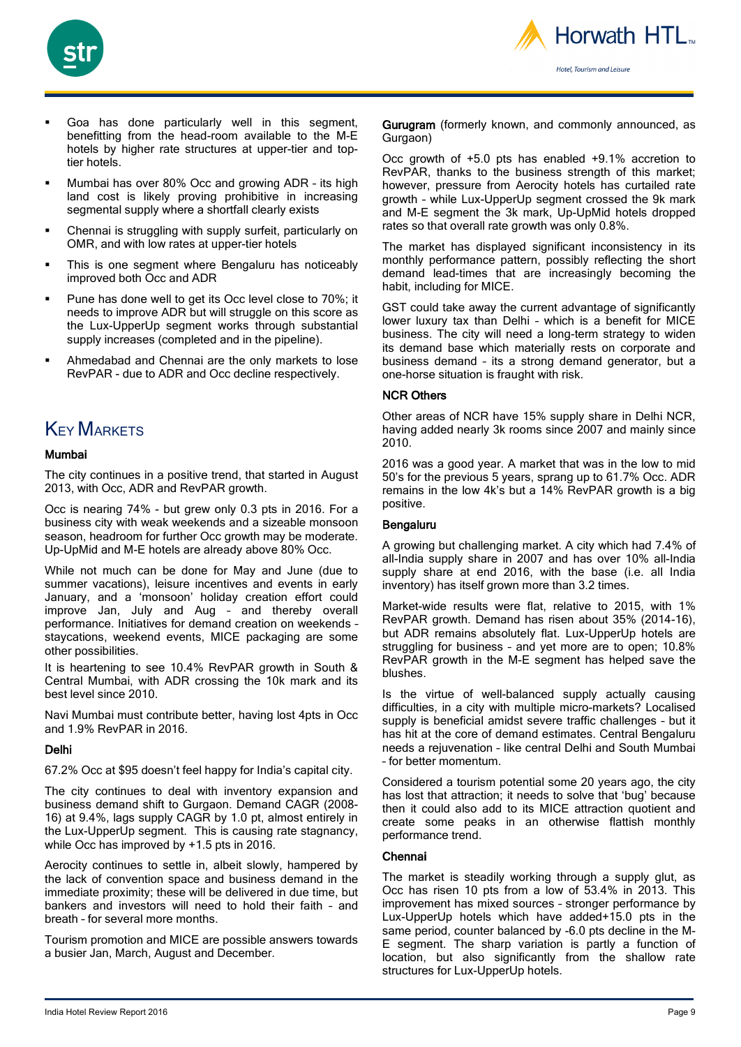



- Goa has done particularly well in this segment, benefitting from the head-room available to the M-E hotels by higher rate structures at upper-tier and toptier hotels.
- Mumbai has over 80% Occ and growing ADR its high land cost is likely proving prohibitive in increasing segmental supply where a shortfall clearly exists
- Chennai is struggling with supply surfeit, particularly on OMR, and with low rates at upper-tier hotels
- This is one segment where Bengaluru has noticeably improved both Occ and ADR
- Pune has done well to get its Occ level close to 70%; it needs to improve ADR but will struggle on this score as the Lux-UpperUp segment works through substantial supply increases (completed and in the pipeline).
- Ahmedabad and Chennai are the only markets to lose RevPAR - due to ADR and Occ decline respectively.

### **KEY MARKETS**

### Mumbai

The city continues in a positive trend, that started in August 2013, with Occ, ADR and RevPAR growth.

Occ is nearing 74% - but grew only 0.3 pts in 2016. For a business city with weak weekends and a sizeable monsoon season, headroom for further Occ growth may be moderate. Up-UpMid and M-E hotels are already above 80% Occ.

While not much can be done for May and June (due to summer vacations), leisure incentives and events in early January, and a 'monsoon' holiday creation effort could improve Jan, July and Aug – and thereby overall performance. Initiatives for demand creation on weekends – staycations, weekend events, MICE packaging are some other possibilities.

It is heartening to see 10.4% RevPAR growth in South & Central Mumbai, with ADR crossing the 10k mark and its best level since 2010.

Navi Mumbai must contribute better, having lost 4pts in Occ and 1.9% RevPAR in 2016.

### Delhi

67.2% Occ at \$95 doesn't feel happy for India's capital city.

The city continues to deal with inventory expansion and business demand shift to Gurgaon. Demand CAGR (2008- 16) at 9.4%, lags supply CAGR by 1.0 pt, almost entirely in the Lux-UpperUp segment. This is causing rate stagnancy, while Occ has improved by +1.5 pts in 2016.

Aerocity continues to settle in, albeit slowly, hampered by the lack of convention space and business demand in the immediate proximity; these will be delivered in due time, but bankers and investors will need to hold their faith – and breath – for several more months.

Tourism promotion and MICE are possible answers towards a busier Jan, March, August and December.

Gurugram (formerly known, and commonly announced, as Gurgaon)

Occ growth of +5.0 pts has enabled +9.1% accretion to RevPAR, thanks to the business strength of this market; however, pressure from Aerocity hotels has curtailed rate growth – while Lux-UpperUp segment crossed the 9k mark and M-E segment the 3k mark, Up-UpMid hotels dropped rates so that overall rate growth was only 0.8%.

The market has displayed significant inconsistency in its monthly performance pattern, possibly reflecting the short demand lead-times that are increasingly becoming the habit, including for MICE.

GST could take away the current advantage of significantly lower luxury tax than Delhi – which is a benefit for MICE business. The city will need a long-term strategy to widen its demand base which materially rests on corporate and business demand – its a strong demand generator, but a one-horse situation is fraught with risk.

### NCR Others

Other areas of NCR have 15% supply share in Delhi NCR, having added nearly 3k rooms since 2007 and mainly since 2010.

2016 was a good year. A market that was in the low to mid 50's for the previous 5 years, sprang up to 61.7% Occ. ADR remains in the low 4k's but a 14% RevPAR growth is a big positive.

### Bengaluru

A growing but challenging market. A city which had 7.4% of all-India supply share in 2007 and has over 10% all-India supply share at end 2016, with the base (i.e. all India inventory) has itself grown more than 3.2 times.

Market-wide results were flat, relative to 2015, with 1% RevPAR growth. Demand has risen about 35% (2014-16), but ADR remains absolutely flat. Lux-UpperUp hotels are struggling for business – and yet more are to open; 10.8% RevPAR growth in the M-E segment has helped save the blushes.

Is the virtue of well-balanced supply actually causing difficulties, in a city with multiple micro-markets? Localised supply is beneficial amidst severe traffic challenges – but it has hit at the core of demand estimates. Central Bengaluru needs a rejuvenation – like central Delhi and South Mumbai – for better momentum.

Considered a tourism potential some 20 years ago, the city has lost that attraction; it needs to solve that 'bug' because then it could also add to its MICE attraction quotient and create some peaks in an otherwise flattish monthly performance trend.

### Chennai

The market is steadily working through a supply glut, as Occ has risen 10 pts from a low of 53.4% in 2013. This improvement has mixed sources – stronger performance by Lux-UpperUp hotels which have added+15.0 pts in the same period, counter balanced by -6.0 pts decline in the M-E segment. The sharp variation is partly a function of location, but also significantly from the shallow rate structures for Lux-UpperUp hotels.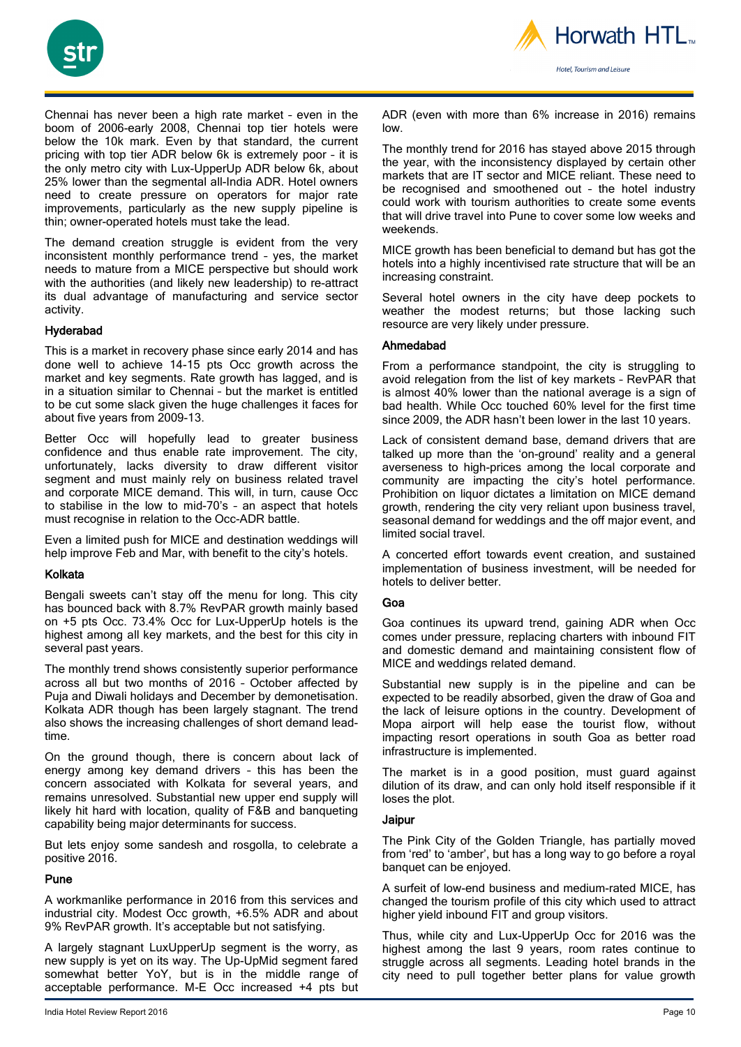



Chennai has never been a high rate market – even in the boom of 2006-early 2008, Chennai top tier hotels were below the 10k mark. Even by that standard, the current pricing with top tier ADR below 6k is extremely poor – it is the only metro city with Lux-UpperUp ADR below 6k, about 25% lower than the segmental all-India ADR. Hotel owners need to create pressure on operators for major rate improvements, particularly as the new supply pipeline is thin; owner-operated hotels must take the lead.

The demand creation struggle is evident from the very inconsistent monthly performance trend – yes, the market needs to mature from a MICE perspective but should work with the authorities (and likely new leadership) to re-attract its dual advantage of manufacturing and service sector activity.

### Hyderabad

This is a market in recovery phase since early 2014 and has done well to achieve 14-15 pts Occ growth across the market and key segments. Rate growth has lagged, and is in a situation similar to Chennai – but the market is entitled to be cut some slack given the huge challenges it faces for about five years from 2009-13.

Better Occ will hopefully lead to greater business confidence and thus enable rate improvement. The city, unfortunately, lacks diversity to draw different visitor segment and must mainly rely on business related travel and corporate MICE demand. This will, in turn, cause Occ to stabilise in the low to mid-70's – an aspect that hotels must recognise in relation to the Occ-ADR battle.

Even a limited push for MICE and destination weddings will help improve Feb and Mar, with benefit to the city's hotels.

### Kolkata

Bengali sweets can't stay off the menu for long. This city has bounced back with 8.7% RevPAR growth mainly based on +5 pts Occ. 73.4% Occ for Lux-UpperUp hotels is the highest among all key markets, and the best for this city in several past years.

The monthly trend shows consistently superior performance across all but two months of 2016 – October affected by Puja and Diwali holidays and December by demonetisation. Kolkata ADR though has been largely stagnant. The trend also shows the increasing challenges of short demand leadtime.

On the ground though, there is concern about lack of energy among key demand drivers – this has been the concern associated with Kolkata for several years, and remains unresolved. Substantial new upper end supply will likely hit hard with location, quality of F&B and banqueting capability being major determinants for success.

But lets enjoy some sandesh and rosgolla, to celebrate a positive 2016.

### Pune

A workmanlike performance in 2016 from this services and industrial city. Modest Occ growth, +6.5% ADR and about 9% RevPAR growth. It's acceptable but not satisfying.

A largely stagnant LuxUpperUp segment is the worry, as new supply is yet on its way. The Up-UpMid segment fared somewhat better YoY, but is in the middle range of acceptable performance. M-E Occ increased +4 pts but ADR (even with more than 6% increase in 2016) remains low.

The monthly trend for 2016 has stayed above 2015 through the year, with the inconsistency displayed by certain other markets that are IT sector and MICE reliant. These need to be recognised and smoothened out – the hotel industry could work with tourism authorities to create some events that will drive travel into Pune to cover some low weeks and weekends.

MICE growth has been beneficial to demand but has got the hotels into a highly incentivised rate structure that will be an increasing constraint.

Several hotel owners in the city have deep pockets to weather the modest returns; but those lacking such resource are very likely under pressure.

### Ahmedabad

From a performance standpoint, the city is struggling to avoid relegation from the list of key markets – RevPAR that is almost 40% lower than the national average is a sign of bad health. While Occ touched 60% level for the first time since 2009, the ADR hasn't been lower in the last 10 years.

Lack of consistent demand base, demand drivers that are talked up more than the 'on-ground' reality and a general averseness to high-prices among the local corporate and community are impacting the city's hotel performance. Prohibition on liquor dictates a limitation on MICE demand growth, rendering the city very reliant upon business travel, seasonal demand for weddings and the off major event, and limited social travel.

A concerted effort towards event creation, and sustained implementation of business investment, will be needed for hotels to deliver better.

### Goa

Goa continues its upward trend, gaining ADR when Occ comes under pressure, replacing charters with inbound FIT and domestic demand and maintaining consistent flow of MICE and weddings related demand.

Substantial new supply is in the pipeline and can be expected to be readily absorbed, given the draw of Goa and the lack of leisure options in the country. Development of Mopa airport will help ease the tourist flow, without impacting resort operations in south Goa as better road infrastructure is implemented.

The market is in a good position, must guard against dilution of its draw, and can only hold itself responsible if it loses the plot.

### Jaipur

The Pink City of the Golden Triangle, has partially moved from 'red' to 'amber', but has a long way to go before a royal banquet can be enjoyed.

A surfeit of low-end business and medium-rated MICE, has changed the tourism profile of this city which used to attract higher yield inbound FIT and group visitors.

Thus, while city and Lux-UpperUp Occ for 2016 was the highest among the last 9 years, room rates continue to struggle across all segments. Leading hotel brands in the city need to pull together better plans for value growth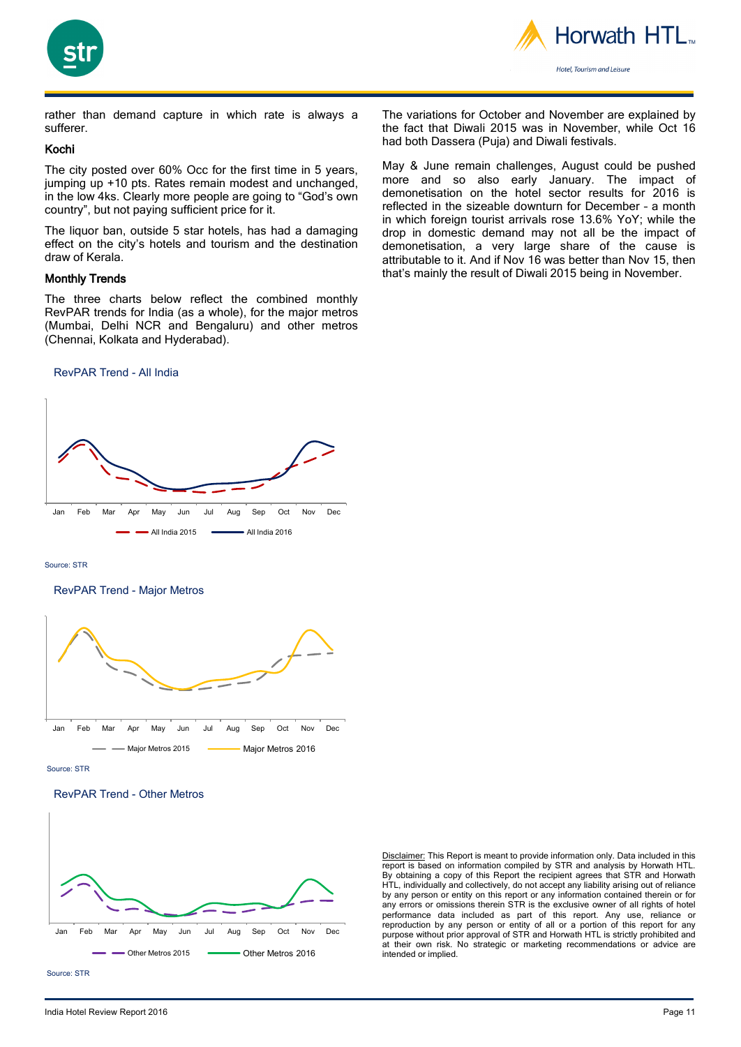



rather than demand capture in which rate is always a sufferer.

### Kochi

The city posted over 60% Occ for the first time in 5 years, jumping up +10 pts. Rates remain modest and unchanged, in the low 4ks. Clearly more people are going to "God's own country", but not paying sufficient price for it.

The liquor ban, outside 5 star hotels, has had a damaging effect on the city's hotels and tourism and the destination draw of Kerala.

### Monthly Trends

The three charts below reflect the combined monthly RevPAR trends for India (as a whole), for the major metros (Mumbai, Delhi NCR and Bengaluru) and other metros (Chennai, Kolkata and Hyderabad).

#### RevPAR Trend - All India



Source: STR

#### RevPAR Trend - Major Metros



Source: STR





Disclaimer: This Report is meant to provide information only. Data included in this report is based on information compiled by STR and analysis by Horwath HTL. By obtaining a copy of this Report the recipient agrees that STR and Horwath HTL, individually and collectively, do not accept any liability arising out of reliance by any person or entity on this report or any information contained therein or for any errors or omissions therein STR is the exclusive owner of all rights of hotel performance data included as part of this report. Any use, reliance or reproduction by any person or entity of all or a portion of this report for any purpose without prior approval of STR and Horwath HTL is strictly prohibited and at their own risk. No strategic or marketing recommendations or advice are intended or implied.

The variations for October and November are explained by the fact that Diwali 2015 was in November, while Oct 16 had both Dassera (Puja) and Diwali festivals.

May & June remain challenges, August could be pushed more and so also early January. The impact of demonetisation on the hotel sector results for 2016 is reflected in the sizeable downturn for December – a month in which foreign tourist arrivals rose 13.6% YoY; while the drop in domestic demand may not all be the impact of demonetisation, a very large share of the cause is attributable to it. And if Nov 16 was better than Nov 15, then that's mainly the result of Diwali 2015 being in November.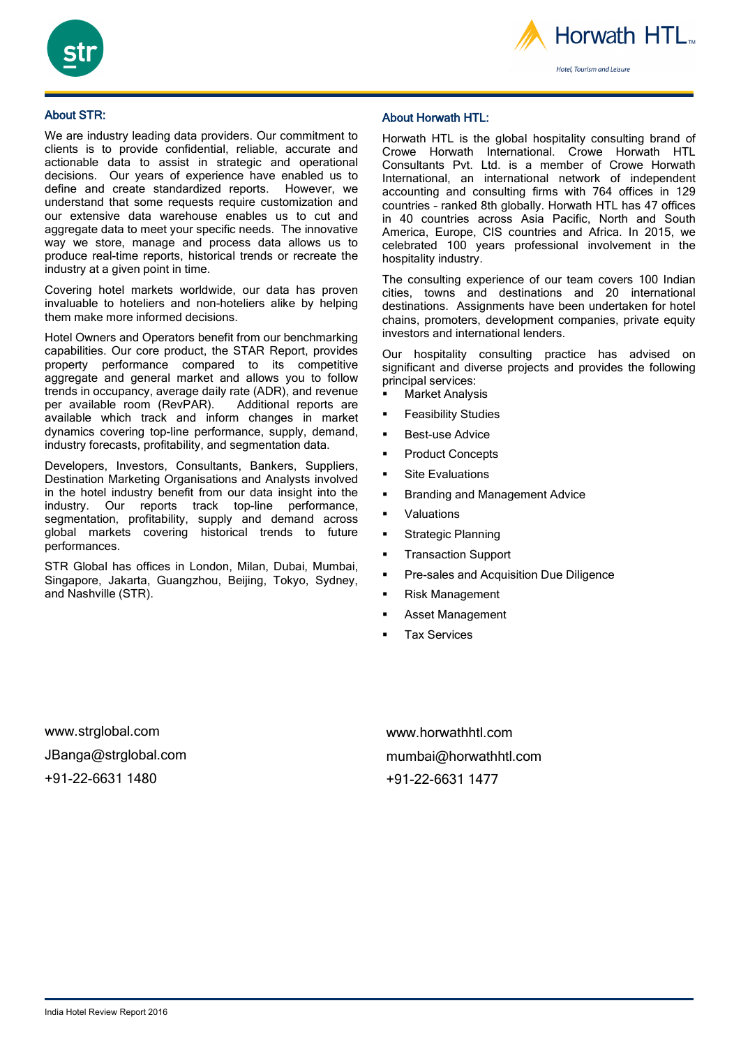



About STR:

We are industry leading data providers. Our commitment to clients is to provide confidential, reliable, accurate and actionable data to assist in strategic and operational decisions. Our years of experience have enabled us to define and create standardized reports. However, we understand that some requests require customization and our extensive data warehouse enables us to cut and aggregate data to meet your specific needs. The innovative way we store, manage and process data allows us to produce real-time reports, historical trends or recreate the industry at a given point in time.

Covering hotel markets worldwide, our data has proven invaluable to hoteliers and non-hoteliers alike by helping them make more informed decisions.

Hotel Owners and Operators benefit from our benchmarking capabilities. Our core product, the STAR Report, provides property performance compared to its competitive aggregate and general market and allows you to follow trends in occupancy, average daily rate (ADR), and revenue per available room (RevPAR). Additional reports are available which track and inform changes in market dynamics covering top-line performance, supply, demand, industry forecasts, profitability, and segmentation data.

Developers, Investors, Consultants, Bankers, Suppliers, Destination Marketing Organisations and Analysts involved in the hotel industry benefit from our data insight into the industry. Our reports track top-line performance, segmentation, profitability, supply and demand across global markets covering historical trends to future performances.

STR Global has offices in London, Milan, Dubai, Mumbai, Singapore, Jakarta, Guangzhou, Beijing, Tokyo, Sydney, and Nashville (STR).

### About Horwath HTL:

Horwath HTL is the global hospitality consulting brand of Crowe Horwath International. Crowe Horwath HTL Consultants Pvt. Ltd. is a member of Crowe Horwath International, an international network of independent accounting and consulting firms with 764 offices in 129 countries – ranked 8th globally. Horwath HTL has 47 offices in 40 countries across Asia Pacific, North and South America, Europe, CIS countries and Africa. In 2015, we celebrated 100 years professional involvement in the hospitality industry.

The consulting experience of our team covers 100 Indian cities, towns and destinations and 20 international destinations. Assignments have been undertaken for hotel chains, promoters, development companies, private equity investors and international lenders.

Our hospitality consulting practice has advised on significant and diverse projects and provides the following principal services:

- Market Analysis
- Feasibility Studies
- Best-use Advice
- Product Concepts
- Site Evaluations
- Branding and Management Advice
- Valuations
- Strategic Planning
- Transaction Support
- Pre-sales and Acquisition Due Diligence
- Risk Management
- Asset Management
- Tax Services

www.strglobal.com JBanga@strglobal.com +91-22-6631 1480

www.horwathhtl.com mumbai@horwathhtl.com +91-22-6631 1477